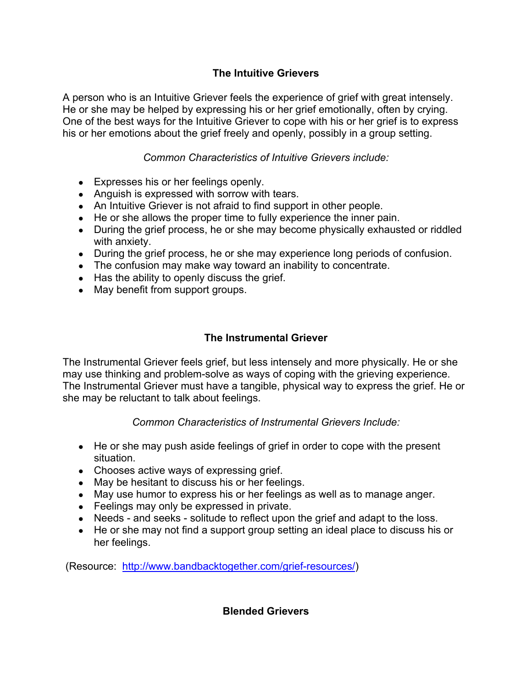## **The Intuitive Grievers**

A person who is an Intuitive Griever feels the experience of grief with great intensely. He or she may be helped by expressing his or her grief emotionally, often by crying. One of the best ways for the Intuitive Griever to cope with his or her grief is to express his or her emotions about the grief freely and openly, possibly in a group setting.

## *Common Characteristics of Intuitive Grievers include:*

- Expresses his or her feelings openly.
- Anguish is expressed with sorrow with tears.
- An Intuitive Griever is not afraid to find support in other people.
- He or she allows the proper time to fully experience the inner pain.
- During the grief process, he or she may become physically exhausted or riddled with anxiety.
- During the grief process, he or she may experience long periods of confusion.
- The confusion may make way toward an inability to concentrate.
- Has the ability to openly discuss the grief.
- May benefit from support groups.

## **The Instrumental Griever**

The Instrumental Griever feels grief, but less intensely and more physically. He or she may use thinking and problem-solve as ways of coping with the grieving experience. The Instrumental Griever must have a tangible, physical way to express the grief. He or she may be reluctant to talk about feelings.

## *Common Characteristics of Instrumental Grievers Include:*

- He or she may push aside feelings of grief in order to cope with the present situation.
- Chooses active ways of expressing grief.
- May be hesitant to discuss his or her feelings.
- May use humor to express his or her feelings as well as to manage anger.
- Feelings may only be expressed in private.
- Needs and seeks solitude to reflect upon the grief and adapt to the loss.
- He or she may not find a support group setting an ideal place to discuss his or her feelings.

(Resource: http://www.bandbacktogether.com/grief-resources/)

**Blended Grievers**